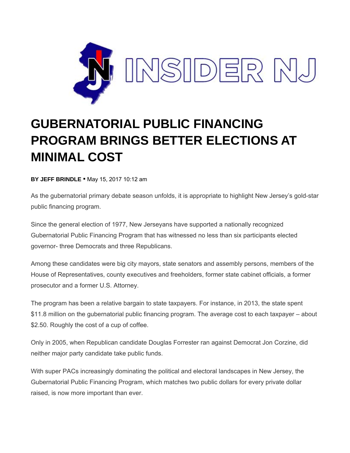

## **GUBERNATORIAL PUBLIC FINANCING PROGRAM BRINGS BETTER ELECTIONS AT MINIMAL COST**

**BY JEFF BRINDLE** ▪ May 15, 2017 10:12 am

As the gubernatorial primary debate season unfolds, it is appropriate to highlight New Jersey's gold-star public financing program.

Since the general election of 1977, New Jerseyans have supported a nationally recognized Gubernatorial Public Financing Program that has witnessed no less than six participants elected governor- three Democrats and three Republicans.

Among these candidates were big city mayors, state senators and assembly persons, members of the House of Representatives, county executives and freeholders, former state cabinet officials, a former prosecutor and a former U.S. Attorney.

The program has been a relative bargain to state taxpayers. For instance, in 2013, the state spent \$11.8 million on the gubernatorial public financing program. The average cost to each taxpayer – about \$2.50. Roughly the cost of a cup of coffee.

Only in 2005, when Republican candidate Douglas Forrester ran against Democrat Jon Corzine, did neither major party candidate take public funds.

With super PACs increasingly dominating the political and electoral landscapes in New Jersey, the Gubernatorial Public Financing Program, which matches two public dollars for every private dollar raised, is now more important than ever.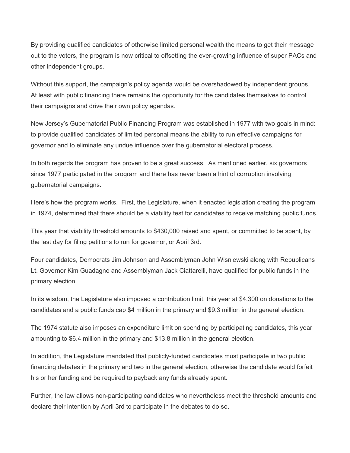By providing qualified candidates of otherwise limited personal wealth the means to get their message out to the voters, the program is now critical to offsetting the ever-growing influence of super PACs and other independent groups.

Without this support, the campaign's policy agenda would be overshadowed by independent groups. At least with public financing there remains the opportunity for the candidates themselves to control their campaigns and drive their own policy agendas.

New Jersey's Gubernatorial Public Financing Program was established in 1977 with two goals in mind: to provide qualified candidates of limited personal means the ability to run effective campaigns for governor and to eliminate any undue influence over the gubernatorial electoral process.

In both regards the program has proven to be a great success. As mentioned earlier, six governors since 1977 participated in the program and there has never been a hint of corruption involving gubernatorial campaigns.

Here's how the program works. First, the Legislature, when it enacted legislation creating the program in 1974, determined that there should be a viability test for candidates to receive matching public funds.

This year that viability threshold amounts to \$430,000 raised and spent, or committed to be spent, by the last day for filing petitions to run for governor, or April 3rd.

Four candidates, Democrats Jim Johnson and Assemblyman John Wisniewski along with Republicans Lt. Governor Kim Guadagno and Assemblyman Jack Ciattarelli, have qualified for public funds in the primary election.

In its wisdom, the Legislature also imposed a contribution limit, this year at \$4,300 on donations to the candidates and a public funds cap \$4 million in the primary and \$9.3 million in the general election.

The 1974 statute also imposes an expenditure limit on spending by participating candidates, this year amounting to \$6.4 million in the primary and \$13.8 million in the general election.

In addition, the Legislature mandated that publicly-funded candidates must participate in two public financing debates in the primary and two in the general election, otherwise the candidate would forfeit his or her funding and be required to payback any funds already spent.

Further, the law allows non-participating candidates who nevertheless meet the threshold amounts and declare their intention by April 3rd to participate in the debates to do so.